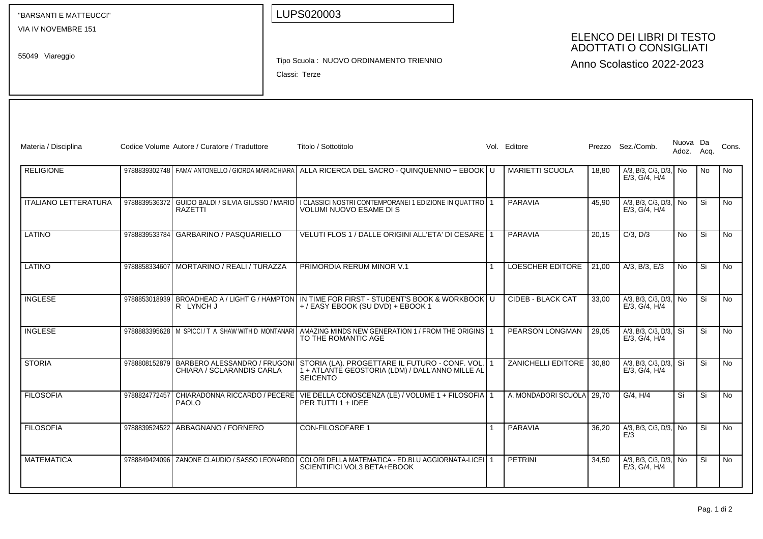| "BARSANTI E MATTEUCCI"      |               |                                                           |                                                                                       | LUPS020003                                                                                                                               |  |  |                           |       |                                                            |                        |    |           |
|-----------------------------|---------------|-----------------------------------------------------------|---------------------------------------------------------------------------------------|------------------------------------------------------------------------------------------------------------------------------------------|--|--|---------------------------|-------|------------------------------------------------------------|------------------------|----|-----------|
| VIA IV NOVEMBRE 151         |               |                                                           |                                                                                       |                                                                                                                                          |  |  |                           |       | ELENCO DEI LIBRI DI TESTO<br><b>ADOTTATI O CONSIGLIATI</b> |                        |    |           |
| 55049 Viareggio             |               |                                                           | Tipo Scuola: NUOVO ORDINAMENTO TRIENNIO<br>Anno Scolastico 2022-2023<br>Classi: Terze |                                                                                                                                          |  |  |                           |       |                                                            |                        |    |           |
|                             |               |                                                           |                                                                                       |                                                                                                                                          |  |  |                           |       |                                                            |                        |    |           |
|                             |               |                                                           |                                                                                       |                                                                                                                                          |  |  |                           |       |                                                            |                        |    |           |
| Materia / Disciplina        |               | Codice Volume Autore / Curatore / Traduttore              |                                                                                       | Titolo / Sottotitolo                                                                                                                     |  |  | Vol. Editore              |       | Prezzo Sez./Comb.                                          | Nuova Da<br>Adoz. Acq. |    | Cons.     |
| <b>RELIGIONE</b>            |               |                                                           |                                                                                       | 9788839302748 FAMA' ANTONELLO / GIORDA MARIACHIARA ALLA RICERCA DEL SACRO - QUINQUENNIO + EBOOK U                                        |  |  | <b>MARIETTI SCUOLA</b>    | 18,80 | $A/3$ , B/3, C/3, D/3, No<br>E/3, G/4, H/4                 |                        | No | No        |
| <b>ITALIANO LETTERATURA</b> |               | RAZETTI                                                   |                                                                                       | 9788839536372 GUIDO BALDI / SILVIA GIUSSO / MARIO   I CLASSICI NOSTRI CONTEMPORANEI 1 EDIZIONE IN QUATTRO   1<br>VOLUMI NUOVO ESAME DI S |  |  | <b>PARAVIA</b>            | 45,90 | A/3, B/3, C/3, D/3, No<br>E/3. G/4. H/4                    |                        | Si | No.       |
| LATINO                      | 9788839533784 | <b>GARBARINO / PASQUARIELLO</b>                           |                                                                                       | VELUTI FLOS 1 / DALLE ORIGINI ALL'ETA' DI CESARE 1                                                                                       |  |  | <b>PARAVIA</b>            | 20,15 | $C/3$ , $D/3$                                              | No                     | Si | <b>No</b> |
| LATINO                      |               | 9788858334607 MORTARINO / REALI / TURAZZA                 |                                                                                       | PRIMORDIA RERUM MINOR V.1                                                                                                                |  |  | <b>LOESCHER EDITORE</b>   | 21,00 | $A/3$ , B/3, E/3                                           | N <sub>o</sub>         | Si | <b>No</b> |
| <b>INGLESE</b>              | 9788853018939 | R LYNCH J                                                 |                                                                                       | BROADHEAD A / LIGHT G / HAMPTON IN TIME FOR FIRST - STUDENT'S BOOK & WORKBOOK U<br>+/EASY EBOOK (SU DVD) + EBOOK 1                       |  |  | <b>CIDEB - BLACK CAT</b>  | 33,00 | A/3, B/3, C/3, D/3, No<br>E/3, G/4, H/4                    |                        | Si | No        |
| <b>INGLESE</b>              |               | 9788883395628   M SPICCI / T A SHAW WITH D MONTANARI      |                                                                                       | AMAZING MINDS NEW GENERATION 1 / FROM THE ORIGINS 1<br>TO THE ROMANTIC AGE                                                               |  |  | PEARSON LONGMAN           | 29,05 | A/3, B/3, C/3, D/3, Si<br>$E/3$ , $G/4$ , $H/4$            |                        | Si | <b>No</b> |
| <b>STORIA</b>               | 9788808152879 | BARBERO ALESSANDRO / FRUGONI<br>CHIARA / SCLARANDIS CARLA |                                                                                       | STORIA (LA). PROGETTARE IL FUTURO - CONF. VOL.<br>1 + ATLANTÉ GEOSTORIA (LDM) / DALL'ANNO MILLE AL<br><b>SEICENTO</b>                    |  |  | ZANICHELLI EDITORE        | 30,80 | A/3, B/3, C/3, D/3, Si<br>E/3, G/4, H/4                    |                        | Si | <b>No</b> |
| <b>FILOSOFIA</b>            | 9788824772457 | CHIARADONNA RICCARDO / PECERE<br><b>PAOLO</b>             |                                                                                       | VIE DELLA CONOSCENZA (LE) / VOLUME 1 + FILOSOFIA 1<br>PER TUTTI 1 + IDEE                                                                 |  |  | A. MONDADORI SCUOLA 29,70 |       | G/4, H/4                                                   | Si                     | Si | No        |
| <b>FILOSOFIA</b>            | 9788839524522 | ABBAGNANO / FORNERO                                       |                                                                                       | CON-FILOSOFARE 1                                                                                                                         |  |  | PARAVIA                   | 36,20 | A/3, B/3, C/3, D/3, No<br>E/3                              |                        | Si | No        |
| <b>MATEMATICA</b>           | 9788849424096 | <b>ZANONE CLAUDIO / SASSO LEONARDO</b>                    |                                                                                       | COLORI DELLA MATEMATICA - ED.BLU AGGIORNATA-LICEI 1<br>SCIENTIFICI VOL3 BETA+EBOOK                                                       |  |  | PETRINI                   | 34,50 | A/3, B/3, C/3, D/3, No<br>$E/3$ , $G/4$ , $H/4$            |                        | Si | No        |